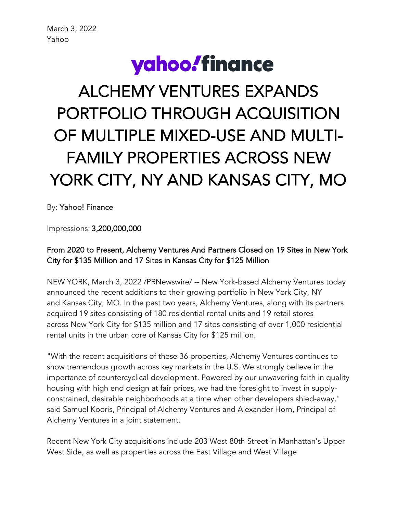# yahoo!finance

# ALCHEMY VENTURES EXPANDS PORTFOLIO THROUGH ACQUISITION OF MULTIPLE MIXED-USE AND MULTI-FAMILY PROPERTIES ACROSS NEW YORK CITY, NY AND KANSAS CITY, MO

By: Yahoo! Finance

Impressions: 3,200,000,000

## From 2020 to Present, Alchemy Ventures And Partners Closed on 19 Sites in New York City for \$135 Million and 17 Sites in Kansas City for \$125 Million

NEW YORK, March 3, 2022 /PRNewswire/ -- New York-based Alchemy Ventures today announced the recent additions to their growing portfolio in New York City, NY and Kansas City, MO. In the past two years, Alchemy Ventures, along with its partners acquired 19 sites consisting of 180 residential rental units and 19 retail stores across New York City for \$135 million and 17 sites consisting of over 1,000 residential rental units in the urban core of Kansas City for \$125 million.

"With the recent acquisitions of these 36 properties, Alchemy Ventures continues to show tremendous growth across key markets in the U.S. We strongly believe in the importance of countercyclical development. Powered by our unwavering faith in quality housing with high end design at fair prices, we had the foresight to invest in supplyconstrained, desirable neighborhoods at a time when other developers shied-away," said Samuel Kooris, Principal of Alchemy Ventures and Alexander Horn, Principal of Alchemy Ventures in a joint statement.

Recent New York City acquisitions include 203 West 80th Street in Manhattan's Upper West Side, as well as properties across the East Village and West Village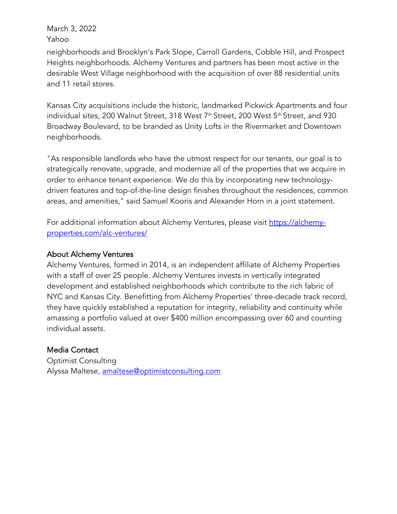March 3, 2022 Yahoo

neighborhoods and Brooklyn's Park Slope, Carroll Gardens, Cobble Hill, and Prospect Heights neighborhoods. Alchemy Ventures and partners has been most active in the desirable West Village neighborhood with the acquisition of over 88 residential units and 11 retail stores.

Kansas City acquisitions include the historic, landmarked Pickwick Apartments and four individual sites, 200 Walnut Street, 318 West 7<sup>th</sup> Street, 200 West 5<sup>th</sup> Street, and 930 Broadway Boulevard, to be branded as Unity Lofts in the Rivermarket and Downtown neighborhoods.

"As responsible landlords who have the utmost respect for our tenants, our goal is to strategically renovate, upgrade, and modernize all of the properties that we acquire in order to enhance tenant experience. We do this by incorporating new technologydriven features and top-of-the-line design finishes throughout the residences, common areas, and amenities," said Samuel Kooris and Alexander Horn in a joint statement.

For additional information about Alchemy Ventures, please visit https://alchemyproperties.com/alc-ventures/

#### About Alchemy Ventures

Alchemy Ventures, formed in 2014, is an independent affiliate of Alchemy Properties with a staff of over 25 people. Alchemy Ventures invests in vertically integrated development and established neighborhoods which contribute to the rich fabric of NYC and Kansas City. Benefitting from Alchemy Properties' three-decade track record, they have quickly established a reputation for integrity, reliability and continuity while amassing a portfolio valued at over \$400 million encompassing over 60 and counting individual assets.

### Media Contact

Optimist Consulting Alyssa Maltese, amaltese@optimistconsulting.com